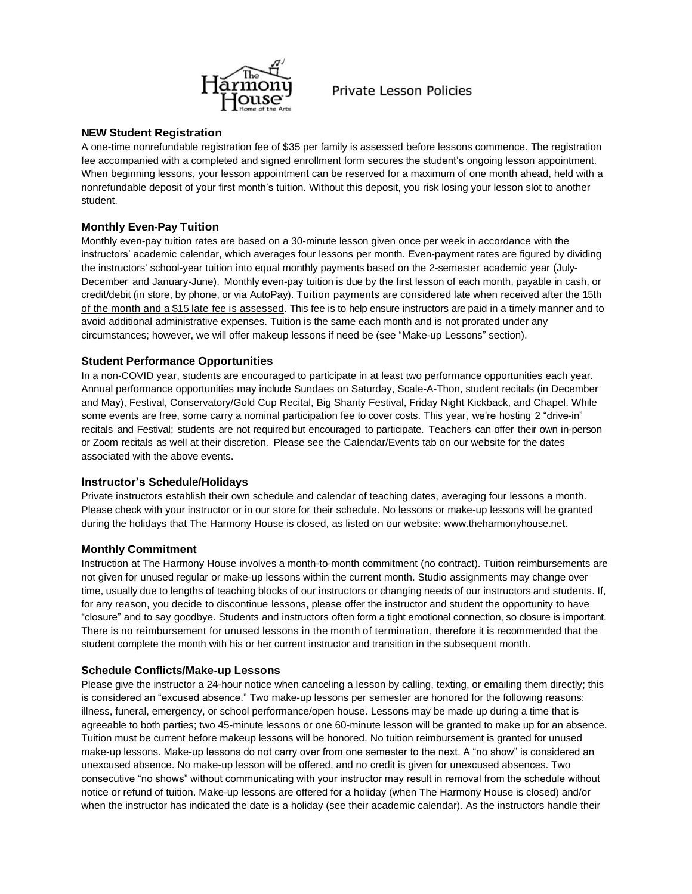

# **Private Lesson Policies**

## **NEW Student Registration**

A one-time nonrefundable registration fee of \$35 per family is assessed before lessons commence. The registration fee accompanied with a completed and signed enrollment form secures the student's ongoing lesson appointment. When beginning lessons, your lesson appointment can be reserved for a maximum of one month ahead, held with a nonrefundable deposit of your first month's tuition. Without this deposit, you risk losing your lesson slot to another student.

## **Monthly Even-Pay Tuition**

Monthly even-pay tuition rates are based on a 30-minute lesson given once per week in accordance with the instructors' academic calendar, which averages four lessons per month. Even-payment rates are figured by dividing the instructors' school-year tuition into equal monthly payments based on the 2-semester academic year (July-December and January-June). Monthly even-pay tuition is due by the first lesson of each month, payable in cash, or credit/debit (in store, by phone, or via AutoPay). Tuition payments are considered late when received after the 15th of the month and a \$15 late fee is assessed. This fee is to help ensure instructors are paid in a timely manner and to avoid additional administrative expenses. Tuition is the same each month and is not prorated under any circumstances; however, we will offer makeup lessons if need be (see "Make-up Lessons" section).

## **Student Performance Opportunities**

In a non-COVID year, students are encouraged to participate in at least two performance opportunities each year. Annual performance opportunities may include Sundaes on Saturday, Scale-A-Thon, student recitals (in December and May), Festival, Conservatory/Gold Cup Recital, Big Shanty Festival, Friday Night Kickback, and Chapel. While some events are free, some carry a nominal participation fee to cover costs. This year, we're hosting 2 "drive-in" recitals and Festival; students are not required but encouraged to participate. Teachers can offer their own in-person or Zoom recitals as well at their discretion. Please see the Calendar/Events tab on our website for the dates associated with the above events.

## **Instructor's Schedule/Holidays**

Private instructors establish their own schedule and calendar of teaching dates, averaging four lessons a month. Please check with your instructor or in our store for their schedule. No lessons or make-up lessons will be granted during the holidays that The Harmony House is closed, as listed on our website: www.theharmonyhouse.net.

## **Monthly Commitment**

Instruction at The Harmony House involves a month-to-month commitment (no contract). Tuition reimbursements are not given for unused regular or make-up lessons within the current month. Studio assignments may change over time, usually due to lengths of teaching blocks of our instructors or changing needs of our instructors and students. If, for any reason, you decide to discontinue lessons, please offer the instructor and student the opportunity to have "closure" and to say goodbye. Students and instructors often form a tight emotional connection, so closure is important. There is no reimbursement for unused lessons in the month of termination, therefore it is recommended that the student complete the month with his or her current instructor and transition in the subsequent month.

## **Schedule Conflicts/Make-up Lessons**

Please give the instructor a 24-hour notice when canceling a lesson by calling, texting, or emailing them directly; this is considered an "excused absence." Two make-up lessons per semester are honored for the following reasons: illness, funeral, emergency, or school performance/open house. Lessons may be made up during a time that is agreeable to both parties; two 45-minute lessons or one 60-minute lesson will be granted to make up for an absence. Tuition must be current before makeup lessons will be honored. No tuition reimbursement is granted for unused make-up lessons. Make-up lessons do not carry over from one semester to the next. A "no show" is considered an unexcused absence. No make-up lesson will be offered, and no credit is given for unexcused absences. Two consecutive "no shows" without communicating with your instructor may result in removal from the schedule without notice or refund of tuition. Make-up lessons are offered for a holiday (when The Harmony House is closed) and/or when the instructor has indicated the date is a holiday (see their academic calendar). As the instructors handle their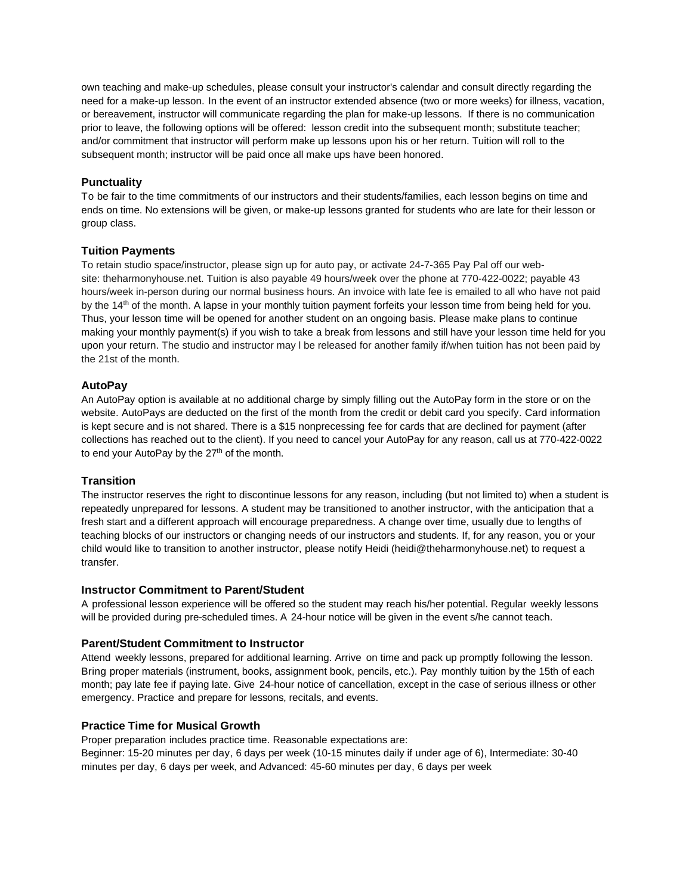own teaching and make-up schedules, please consult your instructor's calendar and consult directly regarding the need for a make-up lesson. In the event of an instructor extended absence (two or more weeks) for illness, vacation, or bereavement, instructor will communicate regarding the plan for make-up lessons. If there is no communication prior to leave, the following options will be offered: lesson credit into the subsequent month; substitute teacher; and/or commitment that instructor will perform make up lessons upon his or her return. Tuition will roll to the subsequent month; instructor will be paid once all make ups have been honored.

## **Punctuality**

To be fair to the time commitments of our instructors and their students/families, each lesson begins on time and ends on time. No extensions will be given, or make-up lessons granted for students who are late for their lesson or group class.

## **Tuition Payments**

To retain studio space/instructor, please sign up for auto pay, or activate 24-7-365 Pay Pal off our website: theharmonyhouse.net. Tuition is also payable 49 hours/week over the phone at 770-422-0022; payable 43 hours/week in-person during our normal business hours. An invoice with late fee is emailed to all who have not paid by the 14<sup>th</sup> of the month. A lapse in your monthly tuition payment forfeits your lesson time from being held for you. Thus, your lesson time will be opened for another student on an ongoing basis. Please make plans to continue making your monthly payment(s) if you wish to take a break from lessons and still have your lesson time held for you upon your return. The studio and instructor may l be released for another family if/when tuition has not been paid by the 21st of the month.

## **AutoPay**

An AutoPay option is available at no additional charge by simply filling out the AutoPay form in the store or on the website. AutoPays are deducted on the first of the month from the credit or debit card you specify. Card information is kept secure and is not shared. There is a \$15 nonprecessing fee for cards that are declined for payment (after collections has reached out to the client). If you need to cancel your AutoPay for any reason, call us at 770-422-0022 to end your AutoPay by the 27<sup>th</sup> of the month.

## **Transition**

The instructor reserves the right to discontinue lessons for any reason, including (but not limited to) when a student is repeatedly unprepared for lessons. A student may be transitioned to another instructor, with the anticipation that a fresh start and a different approach will encourage preparedness. A change over time, usually due to lengths of teaching blocks of our instructors or changing needs of our instructors and students. If, for any reason, you or your child would like to transition to another instructor, please notify Heidi (heidi@theharmonyhouse.net) to request a transfer.

## **Instructor Commitment to Parent/Student**

A professional lesson experience will be offered so the student may reach his/her potential. Regular weekly lessons will be provided during pre-scheduled times. A 24-hour notice will be given in the event s/he cannot teach.

## **Parent/Student Commitment to Instructor**

Attend weekly lessons, prepared for additional learning. Arrive on time and pack up promptly following the lesson. Bring proper materials (instrument, books, assignment book, pencils, etc.). Pay monthly tuition by the 15th of each month; pay late fee if paying late. Give 24-hour notice of cancellation, except in the case of serious illness or other emergency. Practice and prepare for lessons, recitals, and events.

## **Practice Time for Musical Growth**

Proper preparation includes practice time. Reasonable expectations are: Beginner: 15-20 minutes per day, 6 days per week (10-15 minutes daily if under age of 6), Intermediate: 30-40 minutes per day, 6 days per week, and Advanced: 45-60 minutes per day, 6 days per week